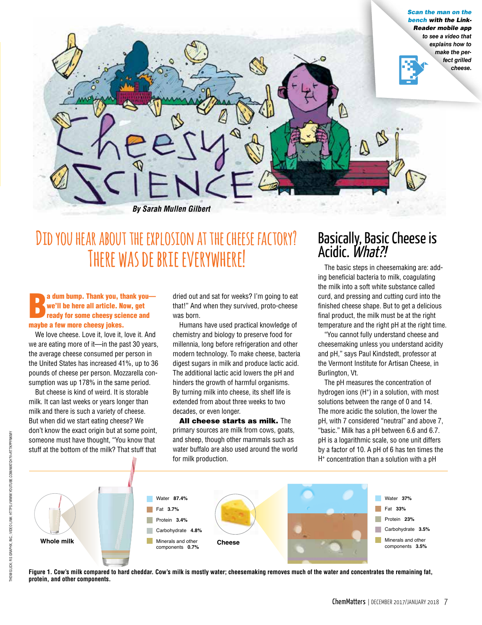

# **Did you hear about the explosion at the cheese factory? There was de brie everywhere!**

### a dum bump. Thank you, the we'll be here all article. Not ready for some cheesy scine<br>maybe a few more cheesy jokes. a dum bump. Thank you, thank you we'll be here all article. Now, get ready for some cheesy science and

We love cheese. Love it, love it, love it. And we are eating more of it—in the past 30 years, the average cheese consumed per person in the United States has increased 41%, up to 36 pounds of cheese per person. Mozzarella consumption was up 178% in the same period.

But cheese is kind of weird. It is storable milk. It can last weeks or years longer than milk and there is such a variety of cheese. But when did we start eating cheese? We don't know the exact origin but at some point, someone must have thought, "You know that stuff at the bottom of the milk? That stuff that dried out and sat for weeks? I'm going to eat that!" And when they survived, proto-cheese was born.

Humans have used practical knowledge of chemistry and biology to preserve food for millennia, long before refrigeration and other modern technology. To make cheese, bacteria digest sugars in milk and produce lactic acid. The additional lactic acid lowers the pH and hinders the growth of harmful organisms. By turning milk into cheese, its shelf life is extended from about three weeks to two decades, or even longer.

All cheese starts as milk. The primary sources are milk from cows, goats, and sheep, though other mammals such as water buffalo are also used around the world for milk production.

## Basically, Basic Cheese is Acidic. *What?!*

The basic steps in cheesemaking are: adding beneficial bacteria to milk, coagulating the milk into a soft white substance called curd, and pressing and cutting curd into the finished cheese shape. But to get a delicious final product, the milk must be at the right temperature and the right pH at the right time.

"You cannot fully understand cheese and cheesemaking unless you understand acidity and pH," says Paul Kindstedt, professor at the Vermont Institute for Artisan Cheese, in Burlington, Vt.

The pH measures the concentration of hydrogen ions (H<sup>+</sup>) in a solution, with most solutions between the range of 0 and 14. The more acidic the solution, the lower the pH, with 7 considered "neutral" and above 7, "basic." Milk has a pH between 6.6 and 6.7. pH is a logarithmic scale, so one unit differs by a factor of 10. A pH of 6 has ten times the H+ concentration than a solution with a pH



**Figure 1. Cow's milk compared to hard cheddar. Cow's milk is mostly water; cheesemaking removes much of the water and concentrates the remaining fat, protein, and other components.**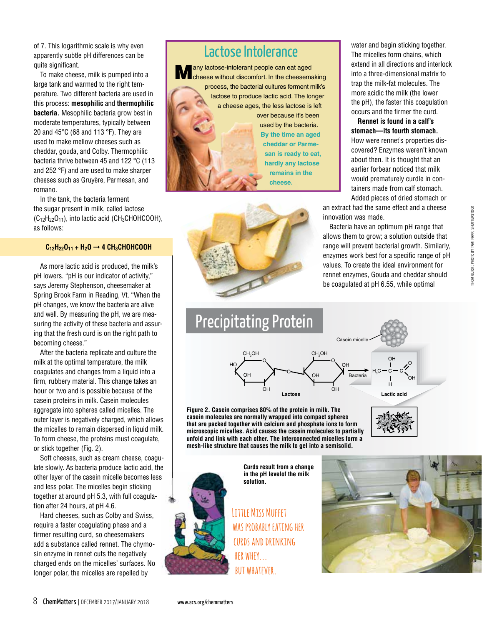of 7. This logarithmic scale is why even apparently subtle pH differences can be quite significant.

To make cheese, milk is pumped into a large tank and warmed to the right temperature. Two different bacteria are used in this process: **mesophilic** and **thermophilic bacteria.** Mesophilic bacteria grow best in moderate temperatures, typically between 20 and 45°C (68 and 113 °F). They are used to make mellow cheeses such as cheddar, gouda, and Colby. Thermophilic bacteria thrive between 45 and 122 °C (113 and 252 °F) and are used to make sharper cheeses such as Gruyère, Parmesan, and romano.

In the tank, the bacteria ferment the sugar present in milk, called lactose  $(C_{12}H_{22}O_{11})$ , into lactic acid  $(CH_3CHOHCOOH)$ , as follows:

#### **C12H22O11 + H2O** ➞ **4 CH3CHOHCOOH**

As more lactic acid is produced, the milk's pH lowers. "pH is our indicator of activity," says Jeremy Stephenson, cheesemaker at Spring Brook Farm in Reading, Vt. "When the pH changes, we know the bacteria are alive and well. By measuring the pH, we are measuring the activity of these bacteria and assuring that the fresh curd is on the right path to becoming cheese."

After the bacteria replicate and culture the milk at the optimal temperature, the milk coagulates and changes from a liquid into a firm, rubbery material. This change takes an hour or two and is possible because of the casein proteins in milk. Casein molecules aggregate into spheres called micelles. The outer layer is negatively charged, which allows the micelles to remain dispersed in liquid milk. To form cheese, the proteins must coagulate, or stick together (Fig. 2).

Soft cheeses, such as cream cheese, coagulate slowly. As bacteria produce lactic acid, the other layer of the casein micelle becomes less and less polar. The micelles begin sticking together at around pH 5.3, with full coagulation after 24 hours, at pH 4.6.

Hard cheeses, such as Colby and Swiss, require a faster coagulating phase and a firmer resulting curd, so cheesemakers add a substance called rennet. The chymosin enzyme in rennet cuts the negatively charged ends on the micelles' surfaces. No longer polar, the micelles are repelled by

## Lactose Intolerance

any lactose-intolerant people can eat aged cheese without discomfort. In the cheesemaking process, the bacterial cultures ferment milk's lactose to produce lactic acid. The longer a cheese ages, the less lactose is left over because it's been used by the bacteria. **By the time an aged cheddar or Parmesan is ready to eat, hardly any lactose remains in the cheese.**



water and begin sticking together. The micelles form chains, which extend in all directions and interlock into a three-dimensional matrix to trap the milk-fat molecules. The more acidic the milk (the lower the pH), the faster this coagulation occurs and the firmer the curd.

**Rennet is found in a calf's stomach—its fourth stomach.**  How were rennet's properties discovered? Enzymes weren't known about then. It is thought that an earlier forbear noticed that milk would prematurely curdle in containers made from calf stomach. Added pieces of dried stomach or

an extract had the same effect and a cheese innovation was made.

Bacteria have an optimum pH range that allows them to grow; a solution outside that range will prevent bacterial growth. Similarly, enzymes work best for a specific range of pH values. To create the ideal environment for rennet enzymes, Gouda and cheddar should be coagulated at pH 6.55, while optimal



**Figure 2. Casein comprises 80% of the protein in milk. The casein molecules are normally wrapped into compact spheres that are packed together with calcium and phosphate ions to form microscopic micelles. Acid causes the casein molecules to partially unfold and link with each other. The interconnected micelles form a mesh-like structure that causes the milk to gel into a semisolid.**

> **Curds result from a change in the pH levelof the milk solution.**

**Little Miss Muffet was probably eating her curds and drinking her whey... but whatever.**